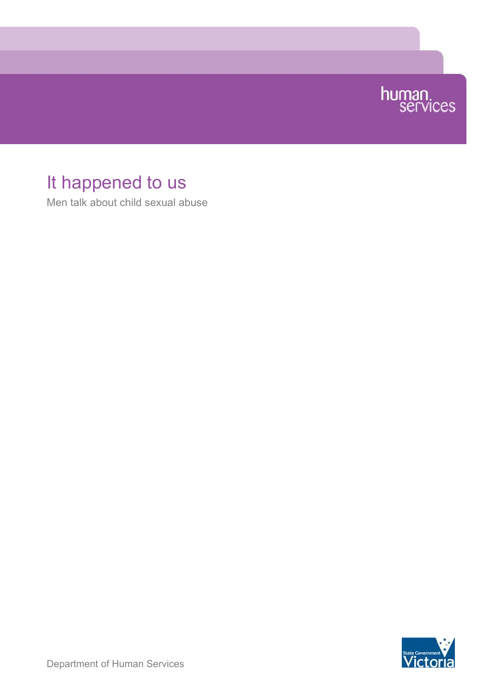

# It happened to us

Men talk about child sexual abuse

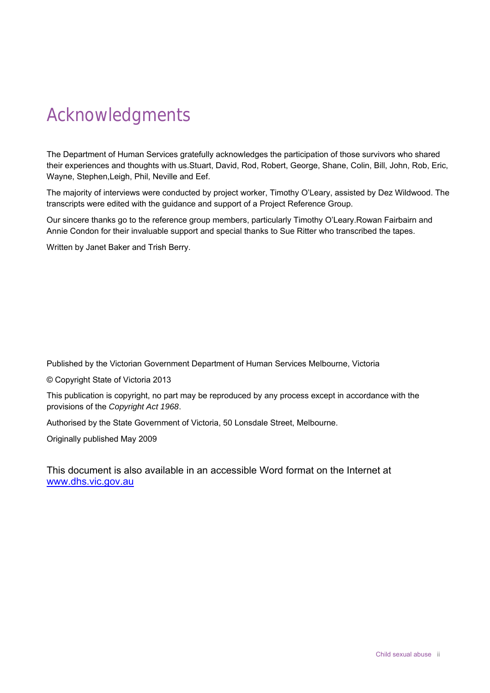# <span id="page-1-0"></span>Acknowledgments

The Department of Human Services gratefully acknowledges the participation of those survivors who shared their experiences and thoughts with us.Stuart, David, Rod, Robert, George, Shane, Colin, Bill, John, Rob, Eric, Wayne, Stephen,Leigh, Phil, Neville and Eef.

The majority of interviews were conducted by project worker, Timothy O'Leary, assisted by Dez Wildwood. The transcripts were edited with the guidance and support of a Project Reference Group.

Our sincere thanks go to the reference group members, particularly Timothy O'Leary.Rowan Fairbairn and Annie Condon for their invaluable support and special thanks to Sue Ritter who transcribed the tapes.

Written by Janet Baker and Trish Berry.

Published by the Victorian Government Department of Human Services Melbourne, Victoria

© Copyright State of Victoria 2013

This publication is copyright, no part may be reproduced by any process except in accordance with the provisions of the *Copyright Act 1968*.

Authorised by the State Government of Victoria, 50 Lonsdale Street, Melbourne.

Originally published May 2009

This document is also available in an accessible Word format on the Internet at [www.dhs.vic.gov.au](http://www.dhs.vic.gov.au/)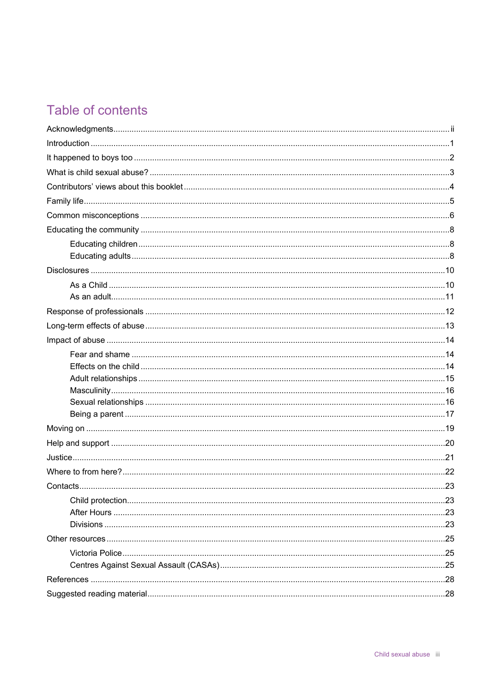# Table of contents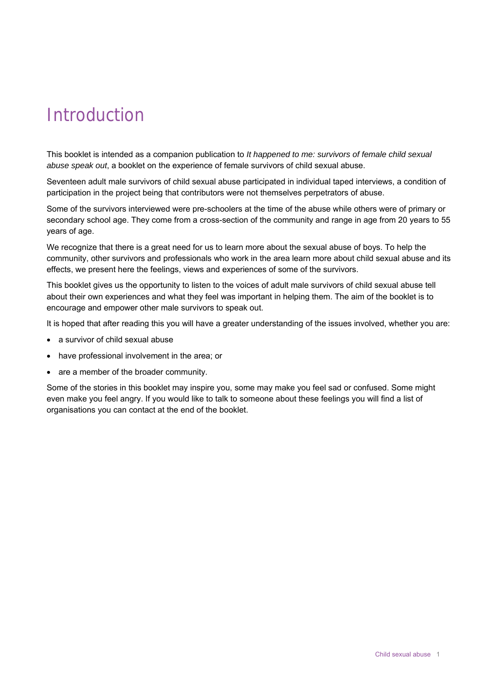# <span id="page-4-0"></span>Introduction

This booklet is intended as a companion publication to *It happened to me: survivors of female child sexual abuse speak out*, a booklet on the experience of female survivors of child sexual abuse.

Seventeen adult male survivors of child sexual abuse participated in individual taped interviews, a condition of participation in the project being that contributors were not themselves perpetrators of abuse.

Some of the survivors interviewed were pre-schoolers at the time of the abuse while others were of primary or secondary school age. They come from a cross-section of the community and range in age from 20 years to 55 years of age.

We recognize that there is a great need for us to learn more about the sexual abuse of boys. To help the community, other survivors and professionals who work in the area learn more about child sexual abuse and its effects, we present here the feelings, views and experiences of some of the survivors.

This booklet gives us the opportunity to listen to the voices of adult male survivors of child sexual abuse tell about their own experiences and what they feel was important in helping them. The aim of the booklet is to encourage and empower other male survivors to speak out.

It is hoped that after reading this you will have a greater understanding of the issues involved, whether you are:

- a survivor of child sexual abuse
- have professional involvement in the area; or
- are a member of the broader community.

Some of the stories in this booklet may inspire you, some may make you feel sad or confused. Some might even make you feel angry. If you would like to talk to someone about these feelings you will find a list of organisations you can contact at the end of the booklet.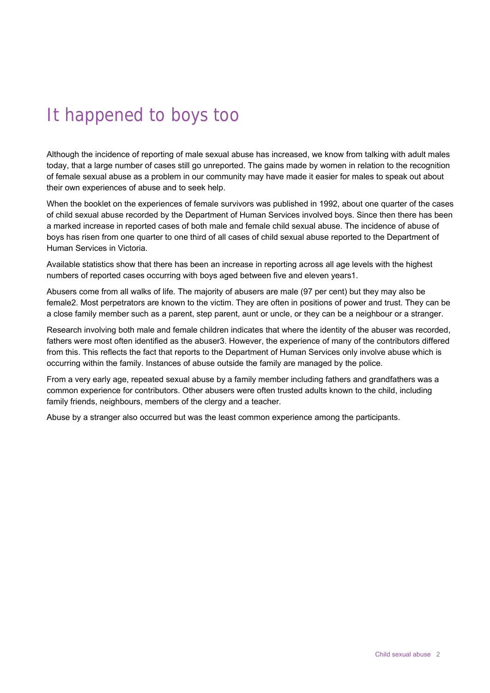# <span id="page-5-0"></span>It happened to boys too

Although the incidence of reporting of male sexual abuse has increased, we know from talking with adult males today, that a large number of cases still go unreported. The gains made by women in relation to the recognition of female sexual abuse as a problem in our community may have made it easier for males to speak out about their own experiences of abuse and to seek help.

When the booklet on the experiences of female survivors was published in 1992, about one quarter of the cases of child sexual abuse recorded by the Department of Human Services involved boys. Since then there has been a marked increase in reported cases of both male and female child sexual abuse. The incidence of abuse of boys has risen from one quarter to one third of all cases of child sexual abuse reported to the Department of Human Services in Victoria.

Available statistics show that there has been an increase in reporting across all age levels with the highest numbers of reported cases occurring with boys aged between five and eleven years1.

Abusers come from all walks of life. The majority of abusers are male (97 per cent) but they may also be female2. Most perpetrators are known to the victim. They are often in positions of power and trust. They can be a close family member such as a parent, step parent, aunt or uncle, or they can be a neighbour or a stranger.

Research involving both male and female children indicates that where the identity of the abuser was recorded, fathers were most often identified as the abuser3. However, the experience of many of the contributors differed from this. This reflects the fact that reports to the Department of Human Services only involve abuse which is occurring within the family. Instances of abuse outside the family are managed by the police.

From a very early age, repeated sexual abuse by a family member including fathers and grandfathers was a common experience for contributors. Other abusers were often trusted adults known to the child, including family friends, neighbours, members of the clergy and a teacher.

Abuse by a stranger also occurred but was the least common experience among the participants.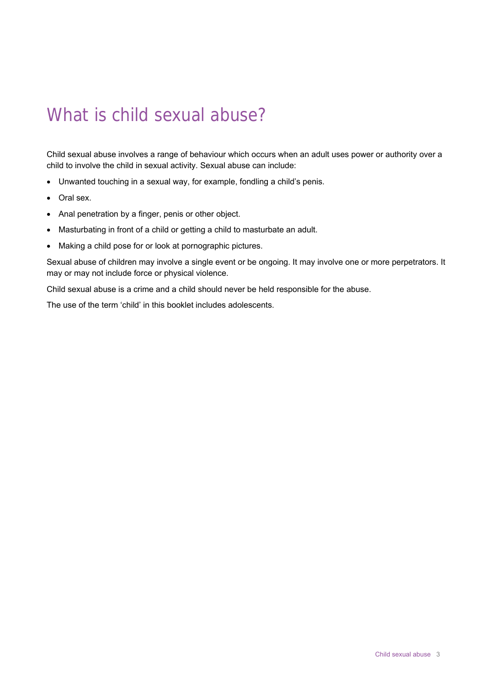# <span id="page-6-0"></span>What is child sexual abuse?

Child sexual abuse involves a range of behaviour which occurs when an adult uses power or authority over a child to involve the child in sexual activity. Sexual abuse can include:

- Unwanted touching in a sexual way, for example, fondling a child's penis.
- Oral sex.
- Anal penetration by a finger, penis or other object.
- Masturbating in front of a child or getting a child to masturbate an adult.
- Making a child pose for or look at pornographic pictures.

Sexual abuse of children may involve a single event or be ongoing. It may involve one or more perpetrators. It may or may not include force or physical violence.

Child sexual abuse is a crime and a child should never be held responsible for the abuse.

The use of the term 'child' in this booklet includes adolescents.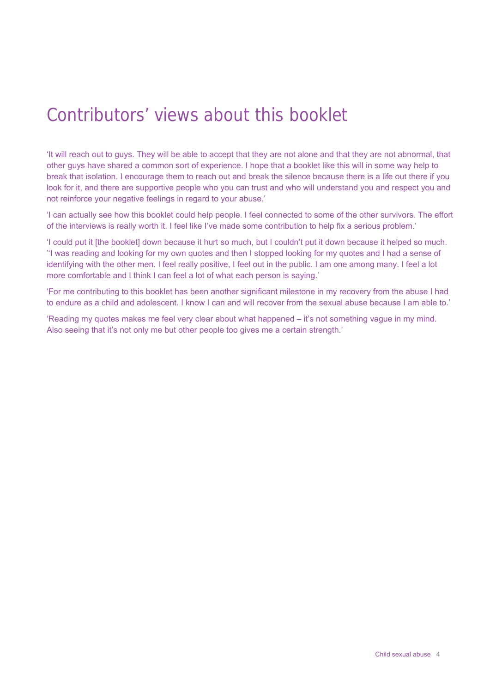# <span id="page-7-0"></span>Contributors' views about this booklet

'It will reach out to guys. They will be able to accept that they are not alone and that they are not abnormal, that other guys have shared a common sort of experience. I hope that a booklet like this will in some way help to break that isolation. I encourage them to reach out and break the silence because there is a life out there if you look for it, and there are supportive people who you can trust and who will understand you and respect you and not reinforce your negative feelings in regard to your abuse.'

'I can actually see how this booklet could help people. I feel connected to some of the other survivors. The effort of the interviews is really worth it. I feel like I've made some contribution to help fix a serious problem.'

'I could put it [the booklet] down because it hurt so much, but I couldn't put it down because it helped so much. ''I was reading and looking for my own quotes and then I stopped looking for my quotes and I had a sense of identifying with the other men. I feel really positive, I feel out in the public. I am one among many. I feel a lot more comfortable and I think I can feel a lot of what each person is saying.'

'For me contributing to this booklet has been another significant milestone in my recovery from the abuse I had to endure as a child and adolescent. I know I can and will recover from the sexual abuse because I am able to.'

'Reading my quotes makes me feel very clear about what happened – it's not something vague in my mind. Also seeing that it's not only me but other people too gives me a certain strength.'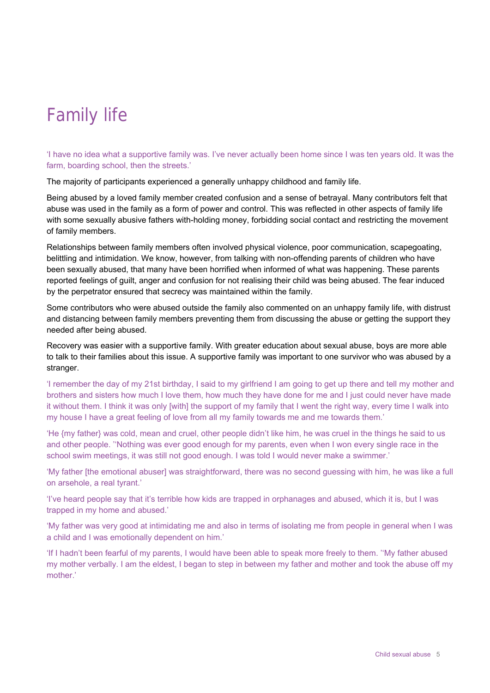# <span id="page-8-0"></span>Family life

'I have no idea what a supportive family was. I've never actually been home since I was ten years old. It was the farm, boarding school, then the streets.'

The majority of participants experienced a generally unhappy childhood and family life.

Being abused by a loved family member created confusion and a sense of betrayal. Many contributors felt that abuse was used in the family as a form of power and control. This was reflected in other aspects of family life with some sexually abusive fathers with-holding money, forbidding social contact and restricting the movement of family members.

Relationships between family members often involved physical violence, poor communication, scapegoating, belittling and intimidation. We know, however, from talking with non-offending parents of children who have been sexually abused, that many have been horrified when informed of what was happening. These parents reported feelings of guilt, anger and confusion for not realising their child was being abused. The fear induced by the perpetrator ensured that secrecy was maintained within the family.

Some contributors who were abused outside the family also commented on an unhappy family life, with distrust and distancing between family members preventing them from discussing the abuse or getting the support they needed after being abused.

Recovery was easier with a supportive family. With greater education about sexual abuse, boys are more able to talk to their families about this issue. A supportive family was important to one survivor who was abused by a stranger.

'I remember the day of my 21st birthday, I said to my girlfriend I am going to get up there and tell my mother and brothers and sisters how much I love them, how much they have done for me and I just could never have made it without them. I think it was only [with] the support of my family that I went the right way, every time I walk into my house I have a great feeling of love from all my family towards me and me towards them.'

'He {my father} was cold, mean and cruel, other people didn't like him, he was cruel in the things he said to us and other people. ''Nothing was ever good enough for my parents, even when I won every single race in the school swim meetings, it was still not good enough. I was told I would never make a swimmer.'

'My father [the emotional abuser] was straightforward, there was no second guessing with him, he was like a full on arsehole, a real tyrant.'

'I've heard people say that it's terrible how kids are trapped in orphanages and abused, which it is, but I was trapped in my home and abused.'

'My father was very good at intimidating me and also in terms of isolating me from people in general when I was a child and I was emotionally dependent on him.'

'If I hadn't been fearful of my parents, I would have been able to speak more freely to them. ''My father abused my mother verbally. I am the eldest, I began to step in between my father and mother and took the abuse off my mother.'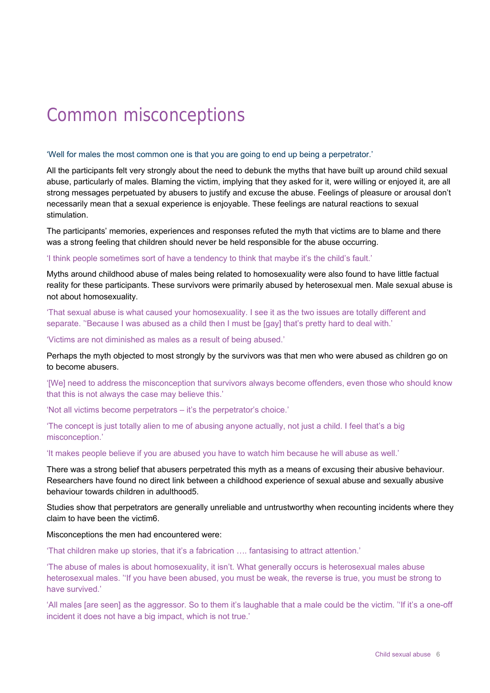# <span id="page-9-0"></span>Common misconceptions

#### 'Well for males the most common one is that you are going to end up being a perpetrator.'

All the participants felt very strongly about the need to debunk the myths that have built up around child sexual abuse, particularly of males. Blaming the victim, implying that they asked for it, were willing or enjoyed it, are all strong messages perpetuated by abusers to justify and excuse the abuse. Feelings of pleasure or arousal don't necessarily mean that a sexual experience is enjoyable. These feelings are natural reactions to sexual stimulation.

The participants' memories, experiences and responses refuted the myth that victims are to blame and there was a strong feeling that children should never be held responsible for the abuse occurring.

#### 'I think people sometimes sort of have a tendency to think that maybe it's the child's fault.'

Myths around childhood abuse of males being related to homosexuality were also found to have little factual reality for these participants. These survivors were primarily abused by heterosexual men. Male sexual abuse is not about homosexuality.

'That sexual abuse is what caused your homosexuality. I see it as the two issues are totally different and separate. "Because I was abused as a child then I must be [qay] that's pretty hard to deal with."

'Victims are not diminished as males as a result of being abused.'

Perhaps the myth objected to most strongly by the survivors was that men who were abused as children go on to become abusers.

'[We] need to address the misconception that survivors always become offenders, even those who should know that this is not always the case may believe this.'

'Not all victims become perpetrators – it's the perpetrator's choice.'

'The concept is just totally alien to me of abusing anyone actually, not just a child. I feel that's a big misconception.'

'It makes people believe if you are abused you have to watch him because he will abuse as well.'

There was a strong belief that abusers perpetrated this myth as a means of excusing their abusive behaviour. Researchers have found no direct link between a childhood experience of sexual abuse and sexually abusive behaviour towards children in adulthood5.

Studies show that perpetrators are generally unreliable and untrustworthy when recounting incidents where they claim to have been the victim6.

#### Misconceptions the men had encountered were:

'That children make up stories, that it's a fabrication …. fantasising to attract attention.'

'The abuse of males is about homosexuality, it isn't. What generally occurs is heterosexual males abuse heterosexual males. ''If you have been abused, you must be weak, the reverse is true, you must be strong to have survived.'

'All males [are seen] as the aggressor. So to them it's laughable that a male could be the victim. ''If it's a one-off incident it does not have a big impact, which is not true.'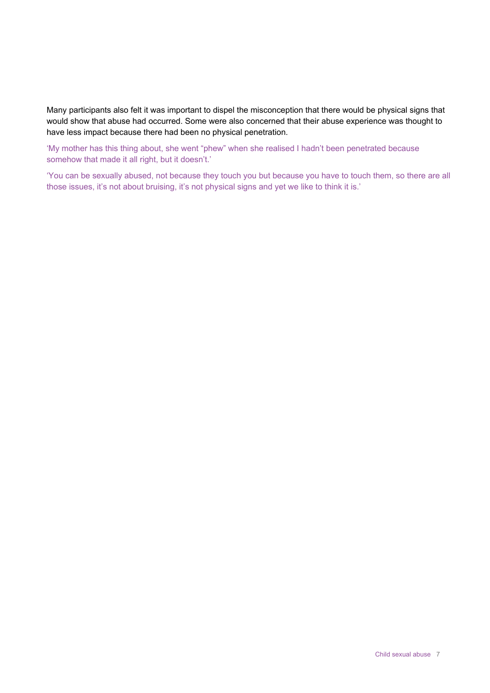Many participants also felt it was important to dispel the misconception that there would be physical signs that would show that abuse had occurred. Some were also concerned that their abuse experience was thought to have less impact because there had been no physical penetration.

'My mother has this thing about, she went "phew" when she realised I hadn't been penetrated because somehow that made it all right, but it doesn't.'

'You can be sexually abused, not because they touch you but because you have to touch them, so there are all those issues, it's not about bruising, it's not physical signs and yet we like to think it is.'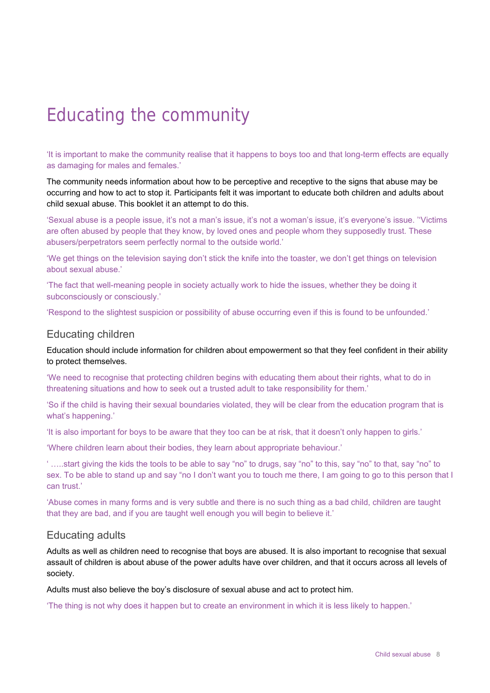# <span id="page-11-0"></span>Educating the community

'It is important to make the community realise that it happens to boys too and that long-term effects are equally as damaging for males and females.'

The community needs information about how to be perceptive and receptive to the signs that abuse may be occurring and how to act to stop it. Participants felt it was important to educate both children and adults about child sexual abuse. This booklet it an attempt to do this.

'Sexual abuse is a people issue, it's not a man's issue, it's not a woman's issue, it's everyone's issue. ''Victims are often abused by people that they know, by loved ones and people whom they supposedly trust. These abusers/perpetrators seem perfectly normal to the outside world.'

'We get things on the television saying don't stick the knife into the toaster, we don't get things on television about sexual abuse.'

'The fact that well-meaning people in society actually work to hide the issues, whether they be doing it subconsciously or consciously.'

'Respond to the slightest suspicion or possibility of abuse occurring even if this is found to be unfounded.'

### <span id="page-11-1"></span>Educating children

Education should include information for children about empowerment so that they feel confident in their ability to protect themselves.

'We need to recognise that protecting children begins with educating them about their rights, what to do in threatening situations and how to seek out a trusted adult to take responsibility for them.'

'So if the child is having their sexual boundaries violated, they will be clear from the education program that is what's happening.'

'It is also important for boys to be aware that they too can be at risk, that it doesn't only happen to girls.'

'Where children learn about their bodies, they learn about appropriate behaviour.'

' …..start giving the kids the tools to be able to say "no" to drugs, say "no" to this, say "no" to that, say "no" to sex. To be able to stand up and say "no I don't want you to touch me there, I am going to go to this person that I can trust.'

'Abuse comes in many forms and is very subtle and there is no such thing as a bad child, children are taught that they are bad, and if you are taught well enough you will begin to believe it.'

#### <span id="page-11-2"></span>Educating adults

Adults as well as children need to recognise that boys are abused. It is also important to recognise that sexual assault of children is about abuse of the power adults have over children, and that it occurs across all levels of society.

Adults must also believe the boy's disclosure of sexual abuse and act to protect him.

'The thing is not why does it happen but to create an environment in which it is less likely to happen.'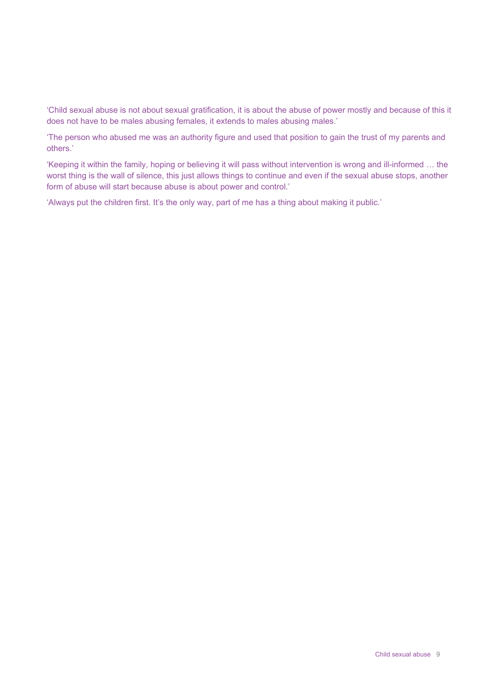'Child sexual abuse is not about sexual gratification, it is about the abuse of power mostly and because of this it does not have to be males abusing females, it extends to males abusing males.'

'The person who abused me was an authority figure and used that position to gain the trust of my parents and others.'

'Keeping it within the family, hoping or believing it will pass without intervention is wrong and ill-informed … the worst thing is the wall of silence, this just allows things to continue and even if the sexual abuse stops, another form of abuse will start because abuse is about power and control.'

'Always put the children first. It's the only way, part of me has a thing about making it public.'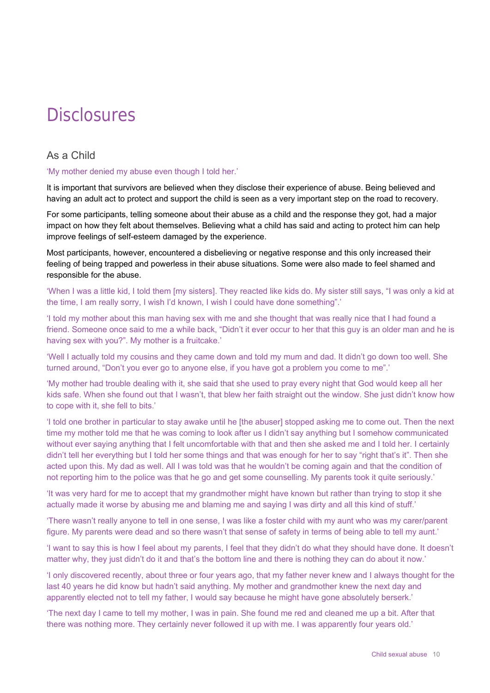# <span id="page-13-0"></span>**Disclosures**

## As a Child

#### <span id="page-13-1"></span>'My mother denied my abuse even though I told her.'

It is important that survivors are believed when they disclose their experience of abuse. Being believed and having an adult act to protect and support the child is seen as a very important step on the road to recovery.

For some participants, telling someone about their abuse as a child and the response they got, had a major impact on how they felt about themselves. Believing what a child has said and acting to protect him can help improve feelings of self-esteem damaged by the experience.

Most participants, however, encountered a disbelieving or negative response and this only increased their feeling of being trapped and powerless in their abuse situations. Some were also made to feel shamed and responsible for the abuse.

'When I was a little kid, I told them [my sisters]. They reacted like kids do. My sister still says, "I was only a kid at the time, I am really sorry, I wish I'd known, I wish I could have done something".'

'I told my mother about this man having sex with me and she thought that was really nice that I had found a friend. Someone once said to me a while back, "Didn't it ever occur to her that this guy is an older man and he is having sex with you?". My mother is a fruitcake.'

'Well I actually told my cousins and they came down and told my mum and dad. It didn't go down too well. She turned around, "Don't you ever go to anyone else, if you have got a problem you come to me".'

'My mother had trouble dealing with it, she said that she used to pray every night that God would keep all her kids safe. When she found out that I wasn't, that blew her faith straight out the window. She just didn't know how to cope with it, she fell to bits.'

'I told one brother in particular to stay awake until he [the abuser] stopped asking me to come out. Then the next time my mother told me that he was coming to look after us I didn't say anything but I somehow communicated without ever saying anything that I felt uncomfortable with that and then she asked me and I told her. I certainly didn't tell her everything but I told her some things and that was enough for her to say "right that's it". Then she acted upon this. My dad as well. All I was told was that he wouldn't be coming again and that the condition of not reporting him to the police was that he go and get some counselling. My parents took it quite seriously.'

'It was very hard for me to accept that my grandmother might have known but rather than trying to stop it she actually made it worse by abusing me and blaming me and saying I was dirty and all this kind of stuff.'

'There wasn't really anyone to tell in one sense, I was like a foster child with my aunt who was my carer/parent figure. My parents were dead and so there wasn't that sense of safety in terms of being able to tell my aunt.'

'I want to say this is how I feel about my parents, I feel that they didn't do what they should have done. It doesn't matter why, they just didn't do it and that's the bottom line and there is nothing they can do about it now.'

'I only discovered recently, about three or four years ago, that my father never knew and I always thought for the last 40 years he did know but hadn't said anything. My mother and grandmother knew the next day and apparently elected not to tell my father, I would say because he might have gone absolutely berserk.'

'The next day I came to tell my mother, I was in pain. She found me red and cleaned me up a bit. After that there was nothing more. They certainly never followed it up with me. I was apparently four years old.'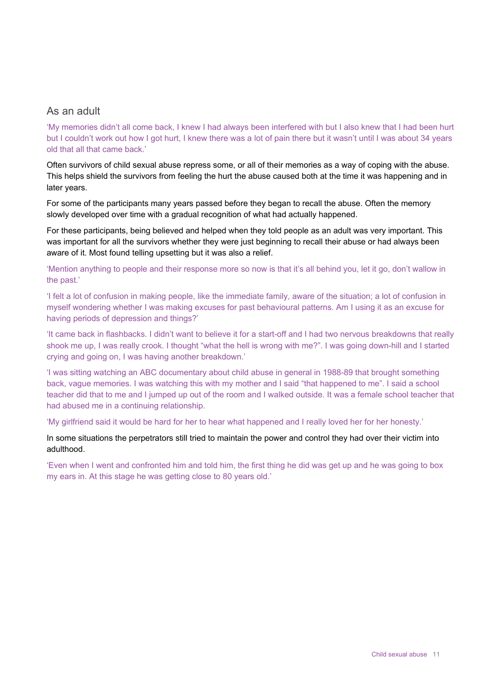### <span id="page-14-0"></span>As an adult

'My memories didn't all come back, I knew I had always been interfered with but I also knew that I had been hurt but I couldn't work out how I got hurt, I knew there was a lot of pain there but it wasn't until I was about 34 years old that all that came back.'

Often survivors of child sexual abuse repress some, or all of their memories as a way of coping with the abuse. This helps shield the survivors from feeling the hurt the abuse caused both at the time it was happening and in later years.

For some of the participants many years passed before they began to recall the abuse. Often the memory slowly developed over time with a gradual recognition of what had actually happened.

For these participants, being believed and helped when they told people as an adult was very important. This was important for all the survivors whether they were just beginning to recall their abuse or had always been aware of it. Most found telling upsetting but it was also a relief.

'Mention anything to people and their response more so now is that it's all behind you, let it go, don't wallow in the past.'

'I felt a lot of confusion in making people, like the immediate family, aware of the situation; a lot of confusion in myself wondering whether I was making excuses for past behavioural patterns. Am I using it as an excuse for having periods of depression and things?'

'It came back in flashbacks. I didn't want to believe it for a start-off and I had two nervous breakdowns that really shook me up, I was really crook. I thought "what the hell is wrong with me?". I was going down-hill and I started crying and going on, I was having another breakdown.'

'I was sitting watching an ABC documentary about child abuse in general in 1988-89 that brought something back, vague memories. I was watching this with my mother and I said "that happened to me". I said a school teacher did that to me and I jumped up out of the room and I walked outside. It was a female school teacher that had abused me in a continuing relationship.

'My girlfriend said it would be hard for her to hear what happened and I really loved her for her honesty.'

In some situations the perpetrators still tried to maintain the power and control they had over their victim into adulthood.

'Even when I went and confronted him and told him, the first thing he did was get up and he was going to box my ears in. At this stage he was getting close to 80 years old.'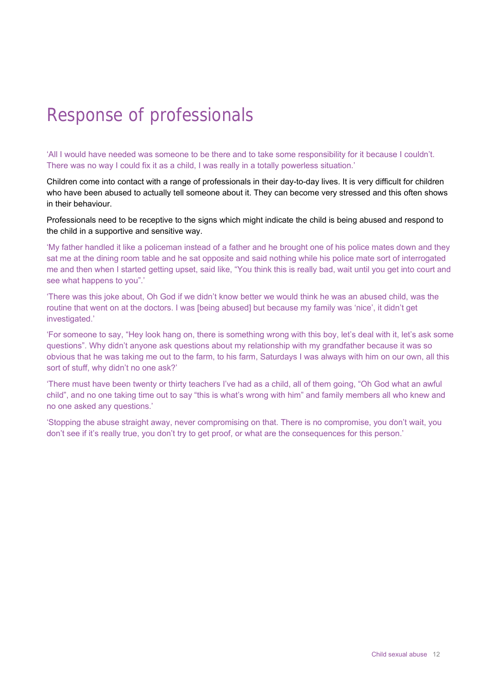# <span id="page-15-0"></span>Response of professionals

'All I would have needed was someone to be there and to take some responsibility for it because I couldn't. There was no way I could fix it as a child, I was really in a totally powerless situation.'

Children come into contact with a range of professionals in their day-to-day lives. It is very difficult for children who have been abused to actually tell someone about it. They can become very stressed and this often shows in their behaviour.

Professionals need to be receptive to the signs which might indicate the child is being abused and respond to the child in a supportive and sensitive way.

'My father handled it like a policeman instead of a father and he brought one of his police mates down and they sat me at the dining room table and he sat opposite and said nothing while his police mate sort of interrogated me and then when I started getting upset, said like, "You think this is really bad, wait until you get into court and see what happens to you".'

'There was this joke about, Oh God if we didn't know better we would think he was an abused child, was the routine that went on at the doctors. I was [being abused] but because my family was 'nice', it didn't get investigated.'

'For someone to say, "Hey look hang on, there is something wrong with this boy, let's deal with it, let's ask some questions". Why didn't anyone ask questions about my relationship with my grandfather because it was so obvious that he was taking me out to the farm, to his farm, Saturdays I was always with him on our own, all this sort of stuff, why didn't no one ask?'

'There must have been twenty or thirty teachers I've had as a child, all of them going, "Oh God what an awful child", and no one taking time out to say "this is what's wrong with him" and family members all who knew and no one asked any questions.'

'Stopping the abuse straight away, never compromising on that. There is no compromise, you don't wait, you don't see if it's really true, you don't try to get proof, or what are the consequences for this person.'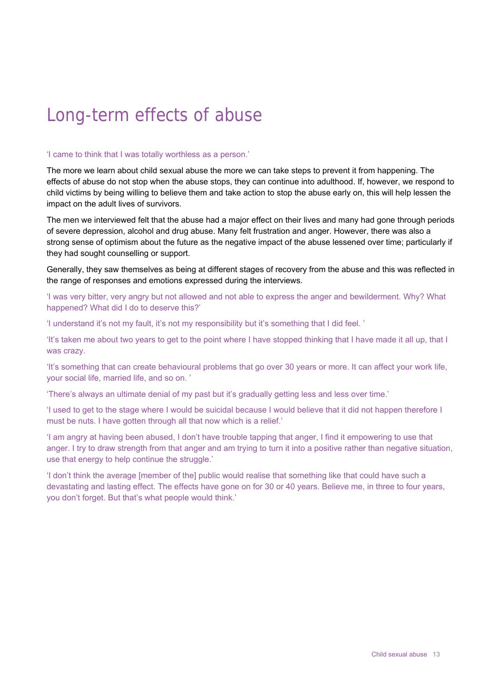# <span id="page-16-0"></span>Long-term effects of abuse

#### 'I came to think that I was totally worthless as a person.'

The more we learn about child sexual abuse the more we can take steps to prevent it from happening. The effects of abuse do not stop when the abuse stops, they can continue into adulthood. If, however, we respond to child victims by being willing to believe them and take action to stop the abuse early on, this will help lessen the impact on the adult lives of survivors.

The men we interviewed felt that the abuse had a major effect on their lives and many had gone through periods of severe depression, alcohol and drug abuse. Many felt frustration and anger. However, there was also a strong sense of optimism about the future as the negative impact of the abuse lessened over time; particularly if they had sought counselling or support.

Generally, they saw themselves as being at different stages of recovery from the abuse and this was reflected in the range of responses and emotions expressed during the interviews.

'I was very bitter, very angry but not allowed and not able to express the anger and bewilderment. Why? What happened? What did I do to deserve this?'

'I understand it's not my fault, it's not my responsibility but it's something that I did feel. '

'It's taken me about two years to get to the point where I have stopped thinking that I have made it all up, that I was crazy.

'It's something that can create behavioural problems that go over 30 years or more. It can affect your work life, your social life, married life, and so on. '

'There's always an ultimate denial of my past but it's gradually getting less and less over time.'

'I used to get to the stage where I would be suicidal because I would believe that it did not happen therefore I must be nuts. I have gotten through all that now which is a relief.'

'I am angry at having been abused, I don't have trouble tapping that anger, I find it empowering to use that anger. I try to draw strength from that anger and am trying to turn it into a positive rather than negative situation, use that energy to help continue the struggle.'

'I don't think the average [member of the] public would realise that something like that could have such a devastating and lasting effect. The effects have gone on for 30 or 40 years. Believe me, in three to four years, you don't forget. But that's what people would think.'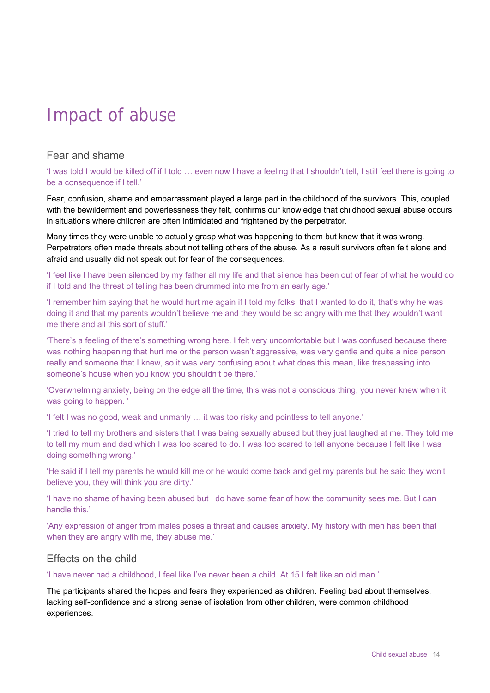# <span id="page-17-0"></span>Impact of abuse

# Fear and shame

<span id="page-17-1"></span>'I was told I would be killed off if I told … even now I have a feeling that I shouldn't tell, I still feel there is going to be a consequence if I tell.'

Fear, confusion, shame and embarrassment played a large part in the childhood of the survivors. This, coupled with the bewilderment and powerlessness they felt, confirms our knowledge that childhood sexual abuse occurs in situations where children are often intimidated and frightened by the perpetrator.

Many times they were unable to actually grasp what was happening to them but knew that it was wrong. Perpetrators often made threats about not telling others of the abuse. As a result survivors often felt alone and afraid and usually did not speak out for fear of the consequences.

'I feel like I have been silenced by my father all my life and that silence has been out of fear of what he would do if I told and the threat of telling has been drummed into me from an early age.'

'I remember him saying that he would hurt me again if I told my folks, that I wanted to do it, that's why he was doing it and that my parents wouldn't believe me and they would be so angry with me that they wouldn't want me there and all this sort of stuff.'

'There's a feeling of there's something wrong here. I felt very uncomfortable but I was confused because there was nothing happening that hurt me or the person wasn't aggressive, was very gentle and quite a nice person really and someone that I knew, so it was very confusing about what does this mean, like trespassing into someone's house when you know you shouldn't be there.'

'Overwhelming anxiety, being on the edge all the time, this was not a conscious thing, you never knew when it was going to happen. '

'I felt I was no good, weak and unmanly … it was too risky and pointless to tell anyone.'

'I tried to tell my brothers and sisters that I was being sexually abused but they just laughed at me. They told me to tell my mum and dad which I was too scared to do. I was too scared to tell anyone because I felt like I was doing something wrong.'

'He said if I tell my parents he would kill me or he would come back and get my parents but he said they won't believe you, they will think you are dirty.'

'I have no shame of having been abused but I do have some fear of how the community sees me. But I can handle this.'

'Any expression of anger from males poses a threat and causes anxiety. My history with men has been that when they are angry with me, they abuse me.'

### <span id="page-17-2"></span>Effects on the child

'I have never had a childhood, I feel like I've never been a child. At 15 I felt like an old man.'

The participants shared the hopes and fears they experienced as children. Feeling bad about themselves, lacking self-confidence and a strong sense of isolation from other children, were common childhood experiences.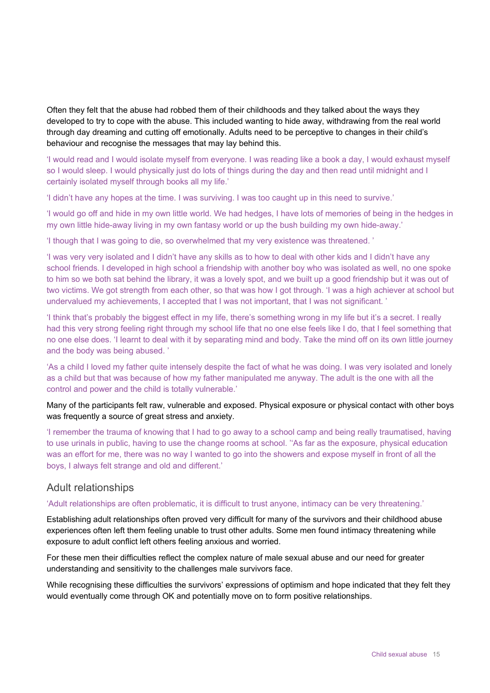Often they felt that the abuse had robbed them of their childhoods and they talked about the ways they developed to try to cope with the abuse. This included wanting to hide away, withdrawing from the real world through day dreaming and cutting off emotionally. Adults need to be perceptive to changes in their child's behaviour and recognise the messages that may lay behind this.

'I would read and I would isolate myself from everyone. I was reading like a book a day, I would exhaust myself so I would sleep. I would physically just do lots of things during the day and then read until midnight and I certainly isolated myself through books all my life.'

'I didn't have any hopes at the time. I was surviving. I was too caught up in this need to survive.'

'I would go off and hide in my own little world. We had hedges, I have lots of memories of being in the hedges in my own little hide-away living in my own fantasy world or up the bush building my own hide-away.'

'I though that I was going to die, so overwhelmed that my very existence was threatened. '

'I was very very isolated and I didn't have any skills as to how to deal with other kids and I didn't have any school friends. I developed in high school a friendship with another boy who was isolated as well, no one spoke to him so we both sat behind the library, it was a lovely spot, and we built up a good friendship but it was out of two victims. We got strength from each other, so that was how I got through. 'I was a high achiever at school but undervalued my achievements, I accepted that I was not important, that I was not significant. '

'I think that's probably the biggest effect in my life, there's something wrong in my life but it's a secret. I really had this very strong feeling right through my school life that no one else feels like I do, that I feel something that no one else does. 'I learnt to deal with it by separating mind and body. Take the mind off on its own little journey and the body was being abused. '

'As a child I loved my father quite intensely despite the fact of what he was doing. I was very isolated and lonely as a child but that was because of how my father manipulated me anyway. The adult is the one with all the control and power and the child is totally vulnerable.'

#### Many of the participants felt raw, vulnerable and exposed. Physical exposure or physical contact with other boys was frequently a source of great stress and anxiety.

'I remember the trauma of knowing that I had to go away to a school camp and being really traumatised, having to use urinals in public, having to use the change rooms at school. ''As far as the exposure, physical education was an effort for me, there was no way I wanted to go into the showers and expose myself in front of all the boys, I always felt strange and old and different.'

### <span id="page-18-0"></span>Adult relationships

#### 'Adult relationships are often problematic, it is difficult to trust anyone, intimacy can be very threatening.'

Establishing adult relationships often proved very difficult for many of the survivors and their childhood abuse experiences often left them feeling unable to trust other adults. Some men found intimacy threatening while exposure to adult conflict left others feeling anxious and worried.

For these men their difficulties reflect the complex nature of male sexual abuse and our need for greater understanding and sensitivity to the challenges male survivors face.

While recognising these difficulties the survivors' expressions of optimism and hope indicated that they felt they would eventually come through OK and potentially move on to form positive relationships.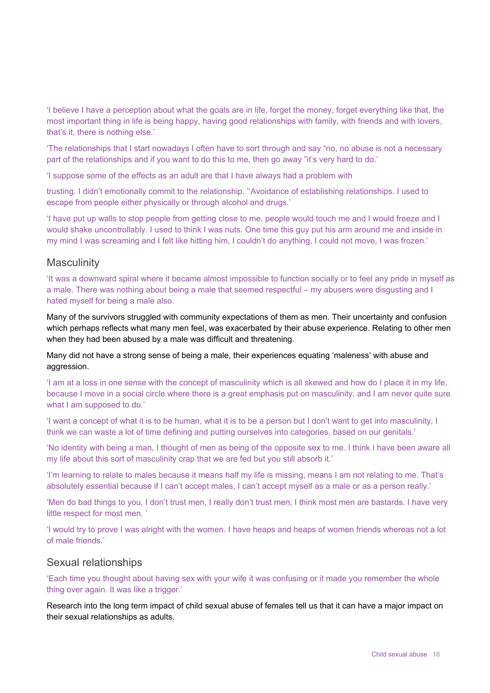'I believe I have a perception about what the goals are in life, forget the money, forget everything like that, the most important thing in life is being happy, having good relationships with family, with friends and with lovers, that's it, there is nothing else.'

'The relationships that I start nowadays I often have to sort through and say "no, no abuse is not a necessary part of the relationships and if you want to do this to me, then go away "it's very hard to do.'

'I suppose some of the effects as an adult are that I have always had a problem with

trusting. I didn't emotionally commit to the relationship. ''Avoidance of establishing relationships. I used to escape from people either physically or through alcohol and drugs.'

'I have put up walls to stop people from getting close to me, people would touch me and I would freeze and I would shake uncontrollably. I used to think I was nuts. One time this guy put his arm around me and inside in my mind I was screaming and I felt like hitting him, I couldn't do anything, I could not move, I was frozen.'

### <span id="page-19-0"></span>**Masculinity**

'It was a downward spiral where it became almost impossible to function socially or to feel any pride in myself as a male. There was nothing about being a male that seemed respectful – my abusers were disgusting and I hated myself for being a male also.

Many of the survivors struggled with community expectations of them as men. Their uncertainty and confusion which perhaps reflects what many men feel, was exacerbated by their abuse experience. Relating to other men when they had been abused by a male was difficult and threatening.

Many did not have a strong sense of being a male, their experiences equating 'maleness' with abuse and aggression.

'I am at a loss in one sense with the concept of masculinity which is all skewed and how do I place it in my life, because I move in a social circle where there is a great emphasis put on masculinity, and I am never quite sure what I am supposed to do.'

'I want a concept of what it is to be human, what it is to be a person but I don't want to get into masculinity, I think we can waste a lot of time defining and putting ourselves into categories, based on our genitals.'

'No identity with being a man, I thought of men as being of the opposite sex to me. I think I have been aware all my life about this sort of masculinity crap that we are fed but you still absorb it.'

'I'm learning to relate to males because it means half my life is missing, means I am not relating to me. That's absolutely essential because if I can't accept males, I can't accept myself as a male or as a person really.'

'Men do bad things to you, I don't trust men, I really don't trust men, I think most men are bastards. I have very little respect for most men. '

'I would try to prove I was alright with the women. I have heaps and heaps of women friends whereas not a lot of male friends.'

#### <span id="page-19-1"></span>Sexual relationships

'Each time you thought about having sex with your wife it was confusing or it made you remember the whole thing over again. It was like a trigger.'

Research into the long term impact of child sexual abuse of females tell us that it can have a major impact on their sexual relationships as adults.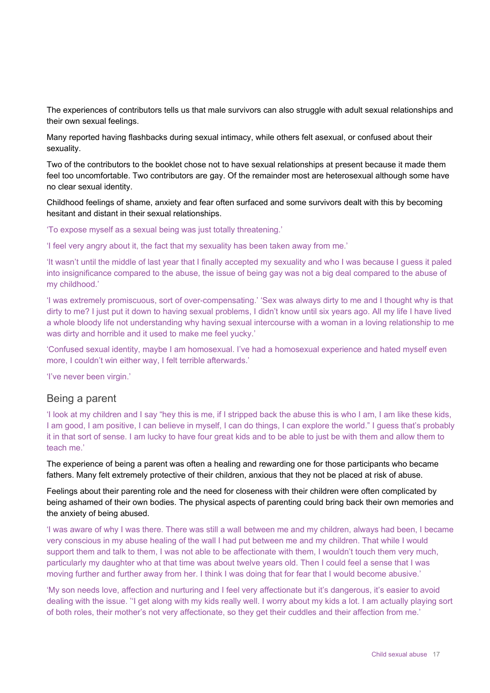The experiences of contributors tells us that male survivors can also struggle with adult sexual relationships and their own sexual feelings.

Many reported having flashbacks during sexual intimacy, while others felt asexual, or confused about their sexuality.

Two of the contributors to the booklet chose not to have sexual relationships at present because it made them feel too uncomfortable. Two contributors are gay. Of the remainder most are heterosexual although some have no clear sexual identity.

Childhood feelings of shame, anxiety and fear often surfaced and some survivors dealt with this by becoming hesitant and distant in their sexual relationships.

'To expose myself as a sexual being was just totally threatening.'

'I feel very angry about it, the fact that my sexuality has been taken away from me.'

'It wasn't until the middle of last year that I finally accepted my sexuality and who I was because I guess it paled into insignificance compared to the abuse, the issue of being gay was not a big deal compared to the abuse of my childhood.'

'I was extremely promiscuous, sort of over-compensating.' 'Sex was always dirty to me and I thought why is that dirty to me? I just put it down to having sexual problems, I didn't know until six years ago. All my life I have lived a whole bloody life not understanding why having sexual intercourse with a woman in a loving relationship to me was dirty and horrible and it used to make me feel yucky.'

'Confused sexual identity, maybe I am homosexual. I've had a homosexual experience and hated myself even more, I couldn't win either way, I felt terrible afterwards.'

'I've never been virgin.'

### <span id="page-20-0"></span>Being a parent

'I look at my children and I say "hey this is me, if I stripped back the abuse this is who I am, I am like these kids, I am good, I am positive, I can believe in myself, I can do things, I can explore the world." I guess that's probably it in that sort of sense. I am lucky to have four great kids and to be able to just be with them and allow them to teach me.'

The experience of being a parent was often a healing and rewarding one for those participants who became fathers. Many felt extremely protective of their children, anxious that they not be placed at risk of abuse.

Feelings about their parenting role and the need for closeness with their children were often complicated by being ashamed of their own bodies. The physical aspects of parenting could bring back their own memories and the anxiety of being abused.

'I was aware of why I was there. There was still a wall between me and my children, always had been, I became very conscious in my abuse healing of the wall I had put between me and my children. That while I would support them and talk to them, I was not able to be affectionate with them, I wouldn't touch them very much, particularly my daughter who at that time was about twelve years old. Then I could feel a sense that I was moving further and further away from her. I think I was doing that for fear that I would become abusive.'

'My son needs love, affection and nurturing and I feel very affectionate but it's dangerous, it's easier to avoid dealing with the issue. ''I get along with my kids really well. I worry about my kids a lot. I am actually playing sort of both roles, their mother's not very affectionate, so they get their cuddles and their affection from me.'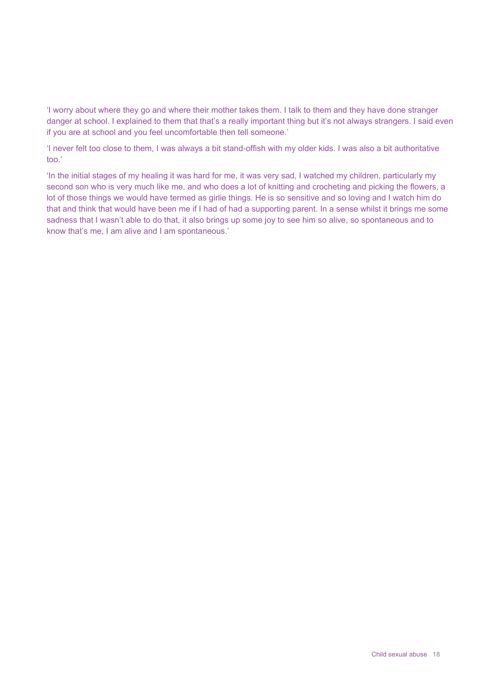'I worry about where they go and where their mother takes them. I talk to them and they have done stranger danger at school. I explained to them that that's a really important thing but it's not always strangers. I said even if you are at school and you feel uncomfortable then tell someone.'

'I never felt too close to them, I was always a bit stand-offish with my older kids. I was also a bit authoritative too.'

'In the initial stages of my healing it was hard for me, it was very sad, I watched my children, particularly my second son who is very much like me, and who does a lot of knitting and crocheting and picking the flowers, a lot of those things we would have termed as girlie things. He is so sensitive and so loving and I watch him do that and think that would have been me if I had of had a supporting parent. In a sense whilst it brings me some sadness that I wasn't able to do that, it also brings up some joy to see him so alive, so spontaneous and to know that's me, I am alive and I am spontaneous.'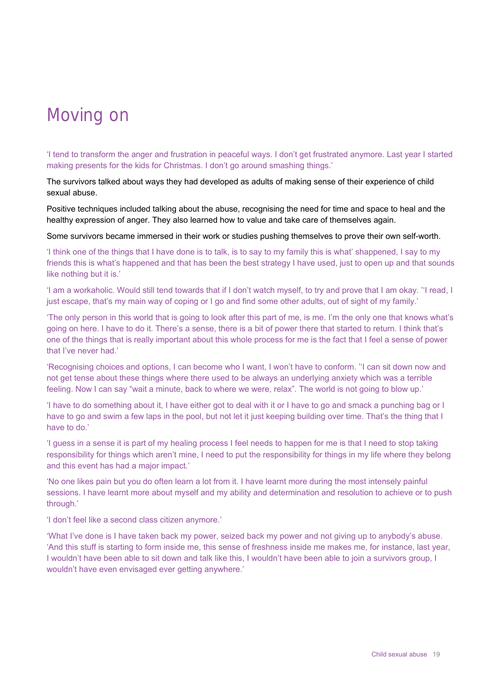# <span id="page-22-0"></span>Moving on

'I tend to transform the anger and frustration in peaceful ways. I don't get frustrated anymore. Last year I started making presents for the kids for Christmas. I don't go around smashing things.'

The survivors talked about ways they had developed as adults of making sense of their experience of child sexual abuse.

Positive techniques included talking about the abuse, recognising the need for time and space to heal and the healthy expression of anger. They also learned how to value and take care of themselves again.

Some survivors became immersed in their work or studies pushing themselves to prove their own self-worth.

'I think one of the things that I have done is to talk, is to say to my family this is what' shappened, I say to my friends this is what's happened and that has been the best strategy I have used, just to open up and that sounds like nothing but it is.'

'I am a workaholic. Would still tend towards that if I don't watch myself, to try and prove that I am okay. ''I read, I just escape, that's my main way of coping or I go and find some other adults, out of sight of my family.'

'The only person in this world that is going to look after this part of me, is me. I'm the only one that knows what's going on here. I have to do it. There's a sense, there is a bit of power there that started to return. I think that's one of the things that is really important about this whole process for me is the fact that I feel a sense of power that I've never had.'

'Recognising choices and options, I can become who I want, I won't have to conform. ''I can sit down now and not get tense about these things where there used to be always an underlying anxiety which was a terrible feeling. Now I can say "wait a minute, back to where we were, relax". The world is not going to blow up.'

'I have to do something about it, I have either got to deal with it or I have to go and smack a punching bag or I have to go and swim a few laps in the pool, but not let it just keeping building over time. That's the thing that I have to do.'

'I guess in a sense it is part of my healing process I feel needs to happen for me is that I need to stop taking responsibility for things which aren't mine, I need to put the responsibility for things in my life where they belong and this event has had a major impact.'

'No one likes pain but you do often learn a lot from it. I have learnt more during the most intensely painful sessions. I have learnt more about myself and my ability and determination and resolution to achieve or to push through.'

'I don't feel like a second class citizen anymore.'

'What I've done is I have taken back my power, seized back my power and not giving up to anybody's abuse. 'And this stuff is starting to form inside me, this sense of freshness inside me makes me, for instance, last year, I wouldn't have been able to sit down and talk like this, I wouldn't have been able to join a survivors group, I wouldn't have even envisaged ever getting anywhere.'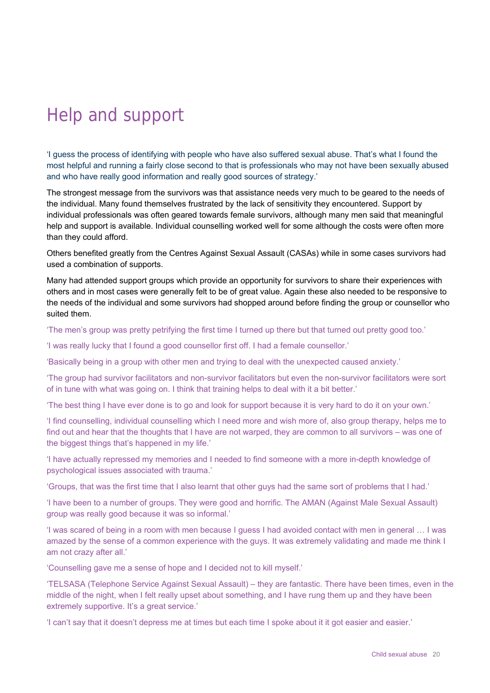# <span id="page-23-0"></span>Help and support

'I guess the process of identifying with people who have also suffered sexual abuse. That's what I found the most helpful and running a fairly close second to that is professionals who may not have been sexually abused and who have really good information and really good sources of strategy.'

The strongest message from the survivors was that assistance needs very much to be geared to the needs of the individual. Many found themselves frustrated by the lack of sensitivity they encountered. Support by individual professionals was often geared towards female survivors, although many men said that meaningful help and support is available. Individual counselling worked well for some although the costs were often more than they could afford.

Others benefited greatly from the Centres Against Sexual Assault (CASAs) while in some cases survivors had used a combination of supports.

Many had attended support groups which provide an opportunity for survivors to share their experiences with others and in most cases were generally felt to be of great value. Again these also needed to be responsive to the needs of the individual and some survivors had shopped around before finding the group or counsellor who suited them.

'The men's group was pretty petrifying the first time I turned up there but that turned out pretty good too.'

'I was really lucky that I found a good counsellor first off. I had a female counsellor.'

'Basically being in a group with other men and trying to deal with the unexpected caused anxiety.'

'The group had survivor facilitators and non-survivor facilitators but even the non-survivor facilitators were sort of in tune with what was going on. I think that training helps to deal with it a bit better.'

'The best thing I have ever done is to go and look for support because it is very hard to do it on your own.'

'I find counselling, individual counselling which I need more and wish more of, also group therapy, helps me to find out and hear that the thoughts that I have are not warped, they are common to all survivors – was one of the biggest things that's happened in my life.'

'I have actually repressed my memories and I needed to find someone with a more in-depth knowledge of psychological issues associated with trauma.'

'Groups, that was the first time that I also learnt that other guys had the same sort of problems that I had.'

'I have been to a number of groups. They were good and horrific. The AMAN (Against Male Sexual Assault) group was really good because it was so informal.'

'I was scared of being in a room with men because I guess I had avoided contact with men in general … I was amazed by the sense of a common experience with the guys. It was extremely validating and made me think I am not crazy after all.'

'Counselling gave me a sense of hope and I decided not to kill myself.'

'TELSASA (Telephone Service Against Sexual Assault) – they are fantastic. There have been times, even in the middle of the night, when I felt really upset about something, and I have rung them up and they have been extremely supportive. It's a great service.'

'I can't say that it doesn't depress me at times but each time I spoke about it it got easier and easier.'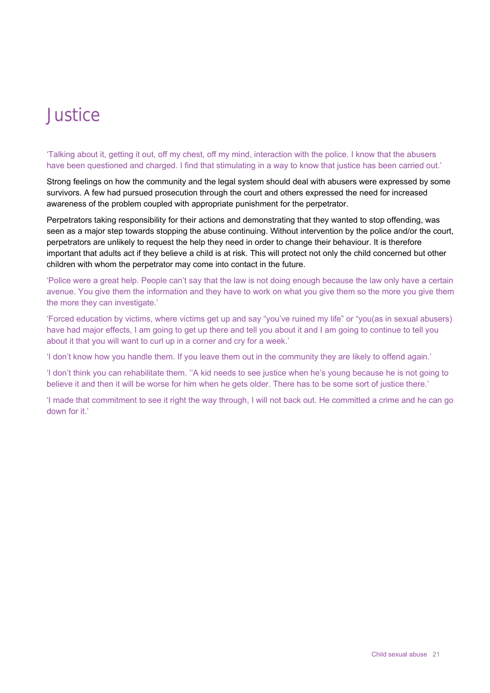# <span id="page-24-0"></span>Justice

'Talking about it, getting it out, off my chest, off my mind, interaction with the police. I know that the abusers have been questioned and charged. I find that stimulating in a way to know that justice has been carried out.'

Strong feelings on how the community and the legal system should deal with abusers were expressed by some survivors. A few had pursued prosecution through the court and others expressed the need for increased awareness of the problem coupled with appropriate punishment for the perpetrator.

Perpetrators taking responsibility for their actions and demonstrating that they wanted to stop offending, was seen as a major step towards stopping the abuse continuing. Without intervention by the police and/or the court, perpetrators are unlikely to request the help they need in order to change their behaviour. It is therefore important that adults act if they believe a child is at risk. This will protect not only the child concerned but other children with whom the perpetrator may come into contact in the future.

'Police were a great help. People can't say that the law is not doing enough because the law only have a certain avenue. You give them the information and they have to work on what you give them so the more you give them the more they can investigate.'

'Forced education by victims, where victims get up and say "you've ruined my life" or "you(as in sexual abusers) have had major effects, I am going to get up there and tell you about it and I am going to continue to tell you about it that you will want to curl up in a corner and cry for a week.'

'I don't know how you handle them. If you leave them out in the community they are likely to offend again.'

'I don't think you can rehabilitate them. ''A kid needs to see justice when he's young because he is not going to believe it and then it will be worse for him when he gets older. There has to be some sort of justice there.'

'I made that commitment to see it right the way through, I will not back out. He committed a crime and he can go down for it.'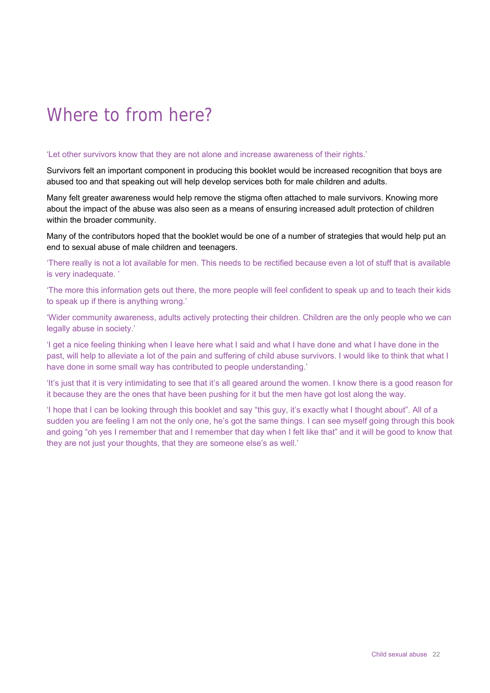# <span id="page-25-0"></span>Where to from here?

#### 'Let other survivors know that they are not alone and increase awareness of their rights.'

Survivors felt an important component in producing this booklet would be increased recognition that boys are abused too and that speaking out will help develop services both for male children and adults.

Many felt greater awareness would help remove the stigma often attached to male survivors. Knowing more about the impact of the abuse was also seen as a means of ensuring increased adult protection of children within the broader community.

Many of the contributors hoped that the booklet would be one of a number of strategies that would help put an end to sexual abuse of male children and teenagers.

'There really is not a lot available for men. This needs to be rectified because even a lot of stuff that is available is very inadequate. '

'The more this information gets out there, the more people will feel confident to speak up and to teach their kids to speak up if there is anything wrong.'

'Wider community awareness, adults actively protecting their children. Children are the only people who we can legally abuse in society.'

'I get a nice feeling thinking when I leave here what I said and what I have done and what I have done in the past, will help to alleviate a lot of the pain and suffering of child abuse survivors. I would like to think that what I have done in some small way has contributed to people understanding.'

'It's just that it is very intimidating to see that it's all geared around the women. I know there is a good reason for it because they are the ones that have been pushing for it but the men have got lost along the way.

'I hope that I can be looking through this booklet and say "this guy, it's exactly what I thought about". All of a sudden you are feeling I am not the only one, he's got the same things. I can see myself going through this book and going "oh yes I remember that and I remember that day when I felt like that" and it will be good to know that they are not just your thoughts, that they are someone else's as well.'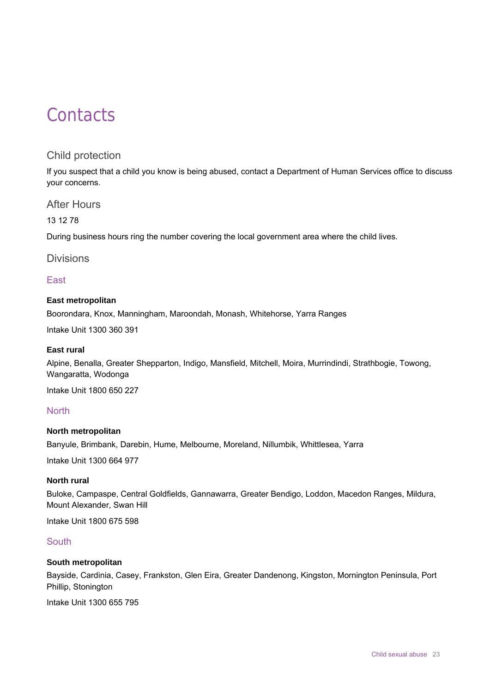# <span id="page-26-0"></span>**Contacts**

## Child protection

<span id="page-26-1"></span>If you suspect that a child you know is being abused, contact a Department of Human Services office to discuss your concerns.

### <span id="page-26-2"></span>After Hours

13 12 78

During business hours ring the number covering the local government area where the child lives.

### <span id="page-26-3"></span>Divisions

### East

### **East metropolitan**

Boorondara, Knox, Manningham, Maroondah, Monash, Whitehorse, Yarra Ranges

Intake Unit 1300 360 391

### **East rural**

Alpine, Benalla, Greater Shepparton, Indigo, Mansfield, Mitchell, Moira, Murrindindi, Strathbogie, Towong, Wangaratta, Wodonga

Intake Unit 1800 650 227

### **North**

#### **North metropolitan**

Banyule, Brimbank, Darebin, Hume, Melbourne, Moreland, Nillumbik, Whittlesea, Yarra

Intake Unit 1300 664 977

#### **North rural**

Buloke, Campaspe, Central Goldfields, Gannawarra, Greater Bendigo, Loddon, Macedon Ranges, Mildura, Mount Alexander, Swan Hill

Intake Unit 1800 675 598

### South

### **South metropolitan**

Bayside, Cardinia, Casey, Frankston, Glen Eira, Greater Dandenong, Kingston, Mornington Peninsula, Port Phillip, Stonington

Intake Unit 1300 655 795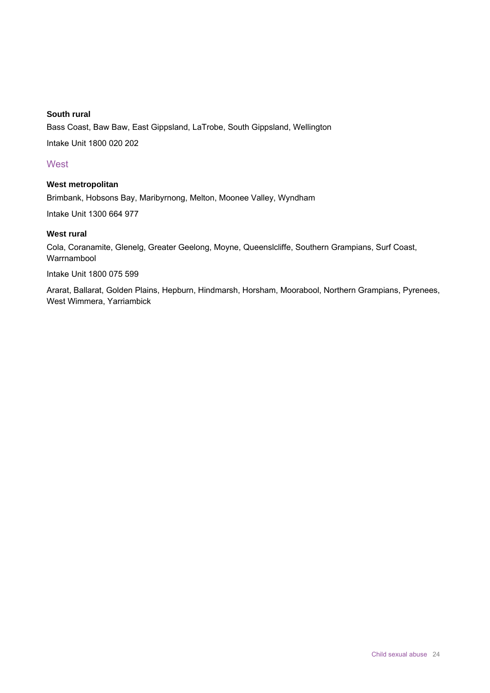### **South rural**

Bass Coast, Baw Baw, East Gippsland, LaTrobe, South Gippsland, Wellington Intake Unit 1800 020 202

### **West**

### **West metropolitan**

Brimbank, Hobsons Bay, Maribyrnong, Melton, Moonee Valley, Wyndham

Intake Unit 1300 664 977

#### **West rural**

Cola, Coranamite, Glenelg, Greater Geelong, Moyne, Queenslcliffe, Southern Grampians, Surf Coast, Warrnambool

Intake Unit 1800 075 599

Ararat, Ballarat, Golden Plains, Hepburn, Hindmarsh, Horsham, Moorabool, Northern Grampians, Pyrenees, West Wimmera, Yarriambick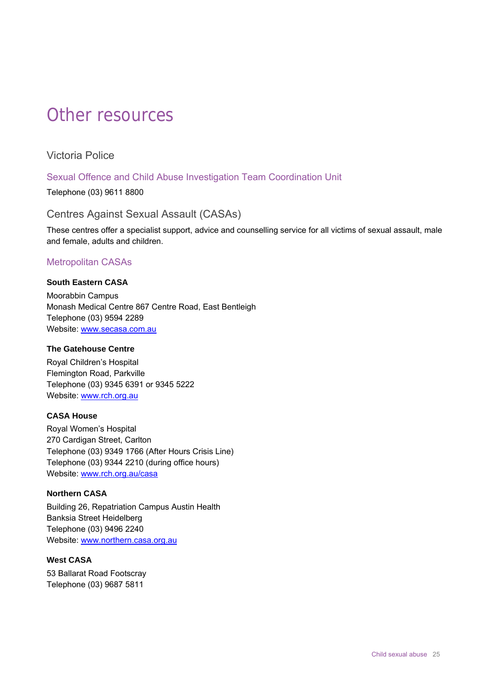# <span id="page-28-0"></span>Other resources

<span id="page-28-1"></span>Victoria Police

### Sexual Offence and Child Abuse Investigation Team Coordination Unit

Telephone (03) 9611 8800

### <span id="page-28-2"></span>Centres Against Sexual Assault (CASAs)

These centres offer a specialist support, advice and counselling service for all victims of sexual assault, male and female, adults and children.

### Metropolitan CASAs

# **South Eastern CASA**

Moorabbin Campus Monash Medical Centre 867 Centre Road, East Bentleigh Telephone (03) 9594 2289 Website: [www.secasa.com.au](http://www.secasa.com.au/)

#### **The Gatehouse Centre**

Royal Children's Hospital Flemington Road, Parkville Telephone (03) 9345 6391 or 9345 5222 Website: [www.rch.org.au](http://www.rch.org.au/)

### **CASA House**

Royal Women's Hospital 270 Cardigan Street, Carlton Telephone (03) 9349 1766 (After Hours Crisis Line) Telephone (03) 9344 2210 (during office hours) Website: www.rch.org.au/casa

#### **Northern CASA**

Building 26, Repatriation Campus Austin Health Banksia Street Heidelberg Telephone (03) 9496 2240 Website: www.northern.casa.org.au

### **West CASA**

53 Ballarat Road Footscray Telephone (03) 9687 5811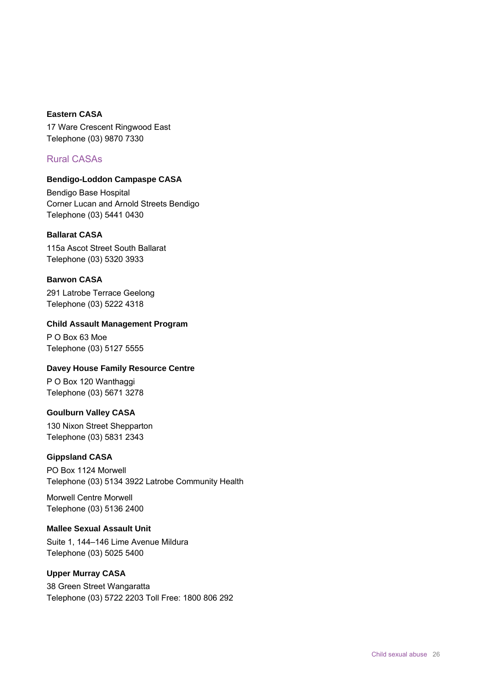#### **Eastern CASA**

17 Ware Crescent Ringwood East Telephone (03) 9870 7330

### Rural CASAs

#### **Bendigo-Loddon Campaspe CASA**

Bendigo Base Hospital Corner Lucan and Arnold Streets Bendigo Telephone (03) 5441 0430

#### **Ballarat CASA**

115a Ascot Street South Ballarat Telephone (03) 5320 3933

#### **Barwon CASA**

291 Latrobe Terrace Geelong Telephone (03) 5222 4318

#### **Child Assault Management Program**

P O Box 63 Moe Telephone (03) 5127 5555

#### **Davey House Family Resource Centre**

P O Box 120 Wanthaggi Telephone (03) 5671 3278

#### **Goulburn Valley CASA**

130 Nixon Street Shepparton Telephone (03) 5831 2343

#### **Gippsland CASA**

PO Box 1124 Morwell Telephone (03) 5134 3922 Latrobe Community Health

Morwell Centre Morwell Telephone (03) 5136 2400

#### **Mallee Sexual Assault Unit**

Suite 1, 144–146 Lime Avenue Mildura Telephone (03) 5025 5400

### **Upper Murray CASA**

38 Green Street Wangaratta Telephone (03) 5722 2203 Toll Free: 1800 806 292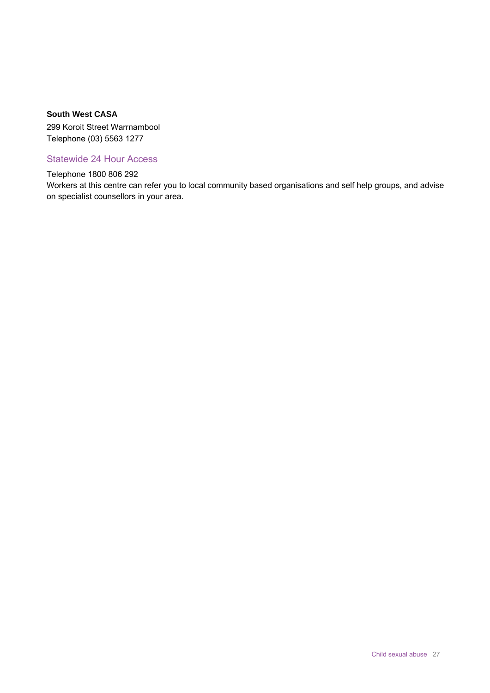#### **South West CASA**

299 Koroit Street Warrnambool Telephone (03) 5563 1277

Statewide 24 Hour Access

Telephone 1800 806 292

Workers at this centre can refer you to local community based organisations and self help groups, and advise on specialist counsellors in your area.